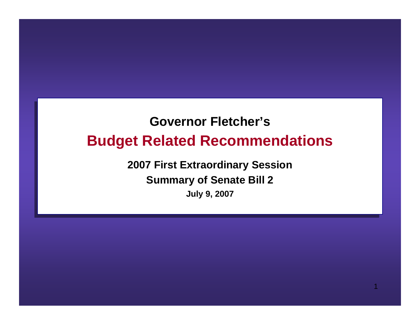# **Governor Fletcher'sGovernor Fletcher'sBudget Related Recommendations Budget Related Recommendations**

**2007 First Extraordinary Session 2007 First Extraordinary Session Summary of Senate Bill 2 Summary of Senate Bill 2 July 9, 2007 July 9, 2007**

1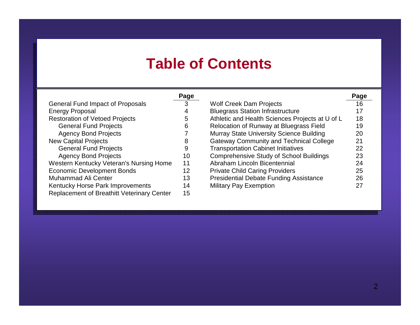#### **Table of Contents Table of Contents**

|                                                   |    |                                                 | Page |
|---------------------------------------------------|----|-------------------------------------------------|------|
| <b>General Fund Impact of Proposals</b>           |    | <b>Wolf Creek Dam Projects</b>                  | 16   |
| <b>Energy Proposal</b>                            |    | <b>Bluegrass Station Infrastructure</b>         | 17   |
| <b>Restoration of Vetoed Projects</b>             | 5  | Athletic and Health Sciences Projects at U of L | 18   |
| <b>General Fund Projects</b>                      | 6  | Relocation of Runway at Bluegrass Field         | 19   |
| <b>Agency Bond Projects</b>                       |    | Murray State University Science Building        | 20   |
| <b>New Capital Projects</b>                       | 8  | <b>Gateway Community and Technical College</b>  | 21   |
| <b>General Fund Projects</b>                      | 9  | <b>Transportation Cabinet Initiatives</b>       | 22   |
| <b>Agency Bond Projects</b>                       | 10 | <b>Comprehensive Study of School Buildings</b>  | 23   |
| Western Kentucky Veteran's Nursing Home           | 11 | Abraham Lincoln Bicentennial                    | 24   |
| <b>Economic Development Bonds</b>                 | 12 | <b>Private Child Caring Providers</b>           | 25   |
| <b>Muhammad Ali Center</b>                        | 13 | <b>Presidential Debate Funding Assistance</b>   | 26   |
| Kentucky Horse Park Improvements                  | 14 | <b>Military Pay Exemption</b>                   | 27   |
| <b>Replacement of Breathitt Veterinary Center</b> | 15 |                                                 |      |
|                                                   |    | Page                                            |      |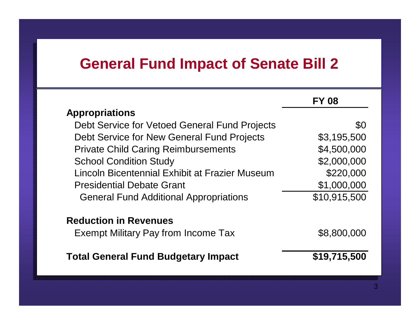### **General Fund Impact of Senate Bill 2 General Fund Impact of Senate Bill 2**

|                                                | <b>FY 08</b> |
|------------------------------------------------|--------------|
| <b>Appropriations</b>                          |              |
| Debt Service for Vetoed General Fund Projects  | \$0          |
| Debt Service for New General Fund Projects     | \$3,195,500  |
| <b>Private Child Caring Reimbursements</b>     | \$4,500,000  |
| <b>School Condition Study</b>                  | \$2,000,000  |
| Lincoln Bicentennial Exhibit at Frazier Museum | \$220,000    |
| <b>Presidential Debate Grant</b>               | \$1,000,000  |
| <b>General Fund Additional Appropriations</b>  | \$10,915,500 |
| <b>Reduction in Revenues</b>                   |              |
| <b>Exempt Military Pay from Income Tax</b>     | \$8,800,000  |
| <b>Total General Fund Budgetary Impact</b>     | \$19,715,500 |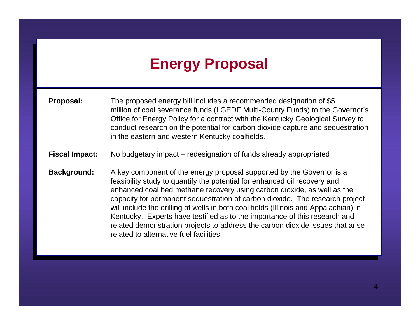# **Energy Proposal Energy Proposal**

- million of coal severance funds (LGEDF Multi-County Funds) to the Governor's million of coal severance funds (LGEDF Multi-County Funds) to the Governor's Office for Energy Policy for a contract with the Kentucky Geological Survey to Office for Energy Policy for a contract with the Kentucky Geological Survey to conduct research on the potential for carbon dioxide capture and sequestration conduct research on the potential for carbon dioxide capture and sequestration<br>in the eactern and western Kentucky coalfields in the eastern and western Kentucky coalfields. **Proposal:** The proposed energy bill includes a recommended designation of \$5 in the eastern and western Kentucky coalfields.
- **Fiscal Impact:** No budgetary impact redesignation of funds already appropriated **Fiscal Impact:** No budgetary impact – redesignation of funds already appropriated
- **Background:** A key component of the energy proposal supported by the Governor is a feasibility study to quantify the potential for enhanced oil recovery and feasibility study to quantify the potential for enhanced oil recovery and enhanced coal bed methane recovery using carbon dioxide, as well as the enhanced coal bed methane recovery deling carbon dioxide. The research project capacity for permanent sequestration of carbon dioxide. The research project capacity for permanent sequestration of carbon dioxide. The research project will include the drilling of wells in both coal fields (Illinois and Appalachian) in will include the drilling of wells in both coal fields (Illinois and Appalachian) in Kentucky. Experts have testified as to the importance of this research and related demonstration projects to address the carbon dioxide issues that arise related demonstration projects to address the carbon dioxide issues that arise related to alternative fuel facilities.related to alternative fuel facilities.**Background:** A key component of the energy proposal supported by the Governor is a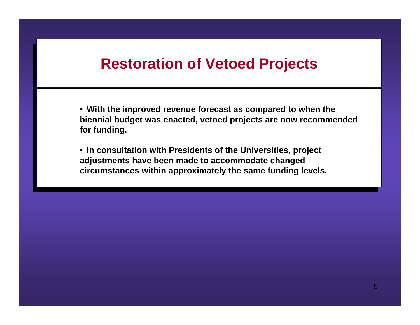#### **Restoration of Vetoed Projects Restoration of Vetoed Projects**

 **With the improved revenue forecast as compared to when the biennial budget was enacted, vetoed projects are now recommended for funding.** • **With the improved revenue forecast as compared to when the biennial budget was enacted, vetoed projects are now recommended for funding.**

 **In consultation with Presidents of the Universities, project adjustments have been made to accommodate changed circumstances within approximately the same funding levels.** • **In consultation with Presidents of the Universities, project adjustments have been made to accommodate changed circumstances within approximately the same funding levels.**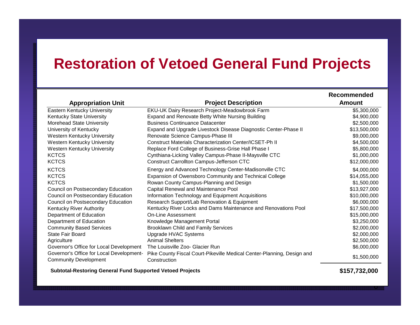#### **Restoration of Vetoed General Fund Projects**

|                                                                          |                                                                                        | Recommended   |
|--------------------------------------------------------------------------|----------------------------------------------------------------------------------------|---------------|
| <b>Appropriation Unit</b>                                                | <b>Project Description</b>                                                             | <b>Amount</b> |
| Eastern Kentucky University                                              | EKU-UK Dairy Research Project-Meadowbrook Farm                                         | \$5,300,000   |
| Kentucky State University                                                | Expand and Renovate Betty White Nursing Building                                       | \$4,900,000   |
| Morehead State University                                                | <b>Business Continuance Datacenter</b>                                                 | \$2,500,000   |
| University of Kentucky                                                   | Expand and Upgrade Livestock Disease Diagnostic Center-Phase II                        | \$13,500,000  |
| <b>Western Kentucky University</b>                                       | Renovate Science Campus-Phase III                                                      | \$9,000,000   |
| <b>Western Kentucky University</b>                                       | <b>Construct Materials Characterization Center/ICSET-Ph II</b>                         | \$4,500,000   |
| <b>Western Kentucky University</b>                                       | Replace Ford College of Business-Grise Hall Phase I                                    | \$5,800,000   |
| <b>KCTCS</b>                                                             | Cynthiana-Licking Valley Campus-Phase II-Maysville CTC                                 | \$1,000,000   |
| <b>KCTCS</b>                                                             | <b>Construct Carrollton Campus-Jefferson CTC</b>                                       | \$12,000,000  |
| <b>KCTCS</b>                                                             | Energy and Advanced Technology Center-Madisonville CTC                                 | \$4,000,000   |
| <b>KCTCS</b>                                                             | Expansion of Owensboro Community and Technical College                                 | \$14,055,000  |
| <b>KCTCS</b>                                                             | Rowan County Campus-Planning and Design                                                | \$1,500,000   |
| Council on Postsecondary Education                                       | Capital Renewal and Maintenance Pool                                                   | \$13,927,000  |
| Council on Postsecondary Education                                       | Information Technology and Equipment Acquisitions                                      | \$10,000,000  |
| Council on Postsecondary Education                                       | Research Support/Lab Renovation & Equipment                                            | \$6,000,000   |
| Kentucky River Authority                                                 | Kentucky River Locks and Dams Maintenance and Renovations Pool                         | \$17,500,000  |
| Department of Education                                                  | <b>On-Line Assessment</b>                                                              | \$15,000,000  |
| Department of Education                                                  | Knowledge Management Portal                                                            | \$3,250,000   |
| <b>Community Based Services</b>                                          | <b>Brooklawn Child and Family Services</b>                                             | \$2,000,000   |
| <b>State Fair Board</b>                                                  | Upgrade HVAC Systems                                                                   | \$2,000,000   |
| Agriculture                                                              | <b>Animal Shelters</b>                                                                 | \$2,500,000   |
| Governor's Office for Local Development                                  | The Louisville Zoo- Glacier Run                                                        | \$6,000,000   |
| Governor's Office for Local Development-<br><b>Community Development</b> | Pike County Fiscal Court-Pikeville Medical Center-Planning, Design and<br>Construction | \$1,500,000   |

 **Subtotal-Restoring General Fund Supported Vetoed Projects \$157,732,000**

6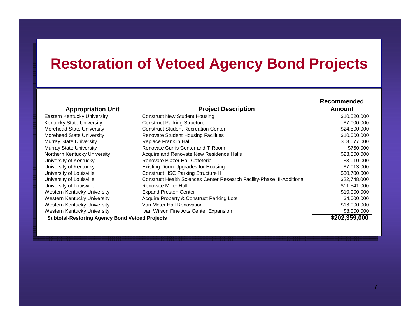## **Restoration of Vetoed Agency Bond Projects**

| <b>Appropriation Unit</b>                             | <b>Project Description</b>                                              | <b>Recommended</b><br>Amount |
|-------------------------------------------------------|-------------------------------------------------------------------------|------------------------------|
| Eastern Kentucky University                           | <b>Construct New Student Housing</b>                                    | \$10,520,000                 |
| Kentucky State University                             | <b>Construct Parking Structure</b>                                      | \$7,000,000                  |
|                                                       | <b>Construct Student Recreation Center</b>                              |                              |
| Morehead State University                             |                                                                         | \$24,500,000                 |
| Morehead State University                             | <b>Renovate Student Housing Facilities</b>                              | \$10,000,000                 |
| <b>Murray State University</b>                        | Replace Franklin Hall                                                   | \$13,077,000                 |
| <b>Murray State University</b>                        | Renovate Curris Center and T-Room                                       | \$750,000                    |
| Northern Kentucky University                          | Acquire and Renovate New Residence Halls                                | \$23,500,000                 |
| University of Kentucky                                | Renovate Blazer Hall Cafeteria                                          | \$3,010,000                  |
| University of Kentucky                                | Existing Dorm Upgrades for Housing                                      | \$7,013,000                  |
| University of Louisville                              | <b>Construct HSC Parking Structure II</b>                               | \$30,700,000                 |
| University of Louisville                              | Construct Health Sciences Center Research Facility-Phase III-Additional | \$22,748,000                 |
| University of Louisville                              | Renovate Miller Hall                                                    | \$11,541,000                 |
| Western Kentucky University                           | <b>Expand Preston Center</b>                                            | \$10,000,000                 |
| Western Kentucky University                           | Acquire Property & Construct Parking Lots                               | \$4,000,000                  |
| Western Kentucky University                           | Van Meter Hall Renovation                                               | \$16,000,000                 |
| Western Kentucky University                           | Ivan Wilson Fine Arts Center Expansion                                  | \$8,000,000                  |
| <b>Subtotal-Restoring Agency Bond Vetoed Projects</b> |                                                                         | \$202,359,000                |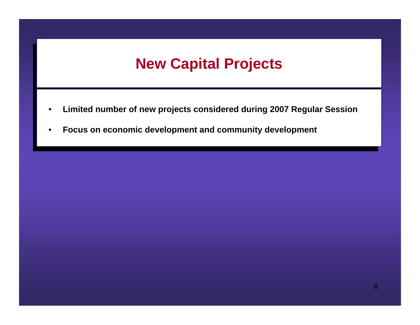# **New Capital Projects New Capital Projects**

- **Limited number of new projects considered during 2007 Regular Session** •**Limited number of new projects considered during 2007 Regular Session**
- **Focus on economic development and community development** •**Focus on economic development and community development**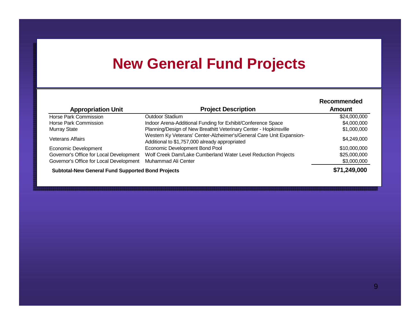## **New General Fund Projects**

| <b>Appropriation Unit</b>                                | <b>Project Description</b>                                                                                             | Recommended<br>Amount |
|----------------------------------------------------------|------------------------------------------------------------------------------------------------------------------------|-----------------------|
| Horse Park Commission                                    | Outdoor Stadium                                                                                                        | \$24,000,000          |
| Horse Park Commission                                    | Indoor Arena-Additional Funding for Exhibit/Conference Space                                                           | \$4,000,000           |
| <b>Murray State</b>                                      | Planning/Design of New Breathitt Veterinary Center - Hopkinsville                                                      | \$1,000,000           |
| Veterans Affairs                                         | Western Ky Veterans' Center-Alzheimer's/General Care Unit Expansion-<br>Additional to \$1,757,000 already appropriated | \$4,249,000           |
| Economic Development                                     | Economic Development Bond Pool                                                                                         | \$10,000,000          |
| Governor's Office for Local Development                  | Wolf Creek Dam/Lake Cumberland Water Level Reduction Projects                                                          | \$25,000,000          |
| Governor's Office for Local Development                  | Muhammad Ali Center                                                                                                    | \$3,000,000           |
| <b>Subtotal-New General Fund Supported Bond Projects</b> |                                                                                                                        | \$71,249,000          |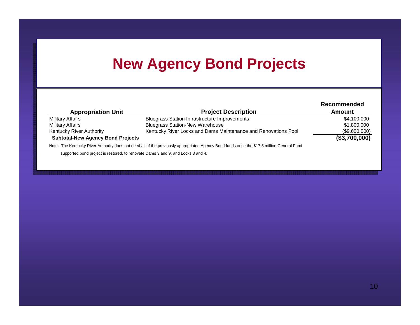# **New Agency Bond Projects**

| <b>Appropriation Unit</b>                | <b>Project Description</b>                                                                                                                 | Recommended<br>Amount |
|------------------------------------------|--------------------------------------------------------------------------------------------------------------------------------------------|-----------------------|
| <b>Military Affairs</b>                  | <b>Bluegrass Station Infrastructure Improvements</b>                                                                                       | \$4,100,000           |
| <b>Military Affairs</b>                  | <b>Bluegrass Station-New Warehouse</b>                                                                                                     | \$1,800,000           |
| <b>Kentucky River Authority</b>          | Kentucky River Locks and Dams Maintenance and Renovations Pool                                                                             | (\$9,600,000)         |
| <b>Subtotal-New Agency Bond Projects</b> |                                                                                                                                            | (\$3,700,000)         |
|                                          | Note: The Kentucky River Authority does not need all of the previously appropriated Agency Bond funds once the \$17.5 million General Fund |                       |
|                                          | supported bond project is restored, to renovate Dams 3 and 9, and Locks 3 and 4.                                                           |                       |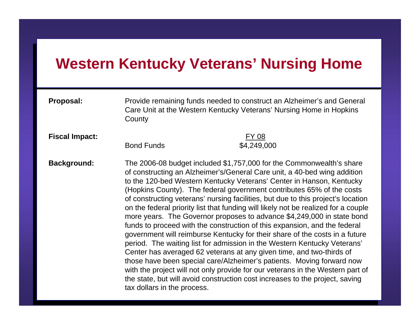#### **Western Kentucky Veterans' Nursing Home**

**Proposal:** Provide remaining rande needed to construct an Alzheimer's and General<br>Carol Ipit at the Mestern Kentucky Veterane' Nursing Hame in Henking Care Unit at the Western Kentucky Veterans' Nursing Home in Hopkins **County Proposal:** Provide remaining funds needed to construct an Alzheimer's and General Care Unit at the Western Kentucky Veterans' Nursing Home in Hopkins County

**Fiscal Impact:** 

**Fiscal Impact:** FY 08  $\frac{4}{4}$ , 249,000 \$4,249,000

Background:<br>
of constructing an Alzheimer's/General Care unit, a 40-bed wing addition of constructing an Alzheimer's/General Care unit, a 40-bed wing addition to the 120-bed Western Kentucky Veterans' Center in Hanson, Kentucky to the 120-bed Western Kentucky Veterans' Center in Hanson, Kentucky (Hopkins County). The federal government contributes 65% of the costs (Hopkins County). The federal government contributes 65% of the costs of constructing veterans' nursing facilities, but due to this project's location of constructing veterans' nursing facilities, but due to this project's location on the federal priority list that funding will likely not be realized for a couple on the federal priority list that funding will likely not be realized for a couple more years. The Governor proposes to advance \$4,249,000 in state bond more years. The Governor proposes to advance  $\phi$  i, $\Xi$  10,000 in state bond funds to proceed with the construction of this expansion, and the federal funds to proceed with the construction of this expansion, and the rederation government will reimburse Kentucky for their share of the costs in a future government will reimbure Kentucky for their share of the costs in a future period. The waiting list for admission in the Western Kentucky Veterans' period. The waiting list for admission in the Western Kentucky Veterans' Center has averaged 62 veterans at any given time, and two-thirds of Center has averaged 62 veterans at any given time, and two-thirds of those have been special care/Alzheimer's patients. Moving forward now with the project will not only provide for our veterans in the Western part of with the project will not only provide for our veterans in the Western part of the state, but will avoid construction cost increases to the project, saving the state, but will avoid construction cost increases to the project, saving tax dollars in the process. **Background:** The 2006-08 budget included \$1,757,000 for the Commonwealth's share tax dollars in the process.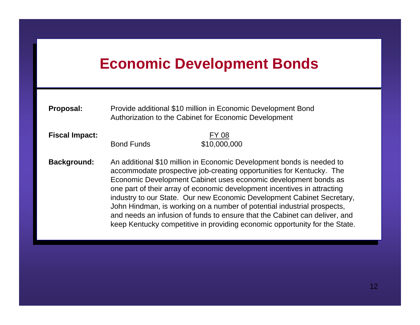## **Economic Development Bonds Economic Development Bonds**

| <b>Proposal:</b> | Provide additional \$10 million in Economic Development Bond |
|------------------|--------------------------------------------------------------|
|                  | Authorization to the Cabinet for Economic Development        |

**FY 08**<br>**Rond Funds S10.000**  $\frac{1}{20101}$  and  $\frac{1}{20100}$ **Fiscal Impact:**  $$10,000,000$ 

**Background:** An additional \$10 million in Economic Development bonds is needed to accommodate prospective job-creating opportunities for Kentucky. The accommodate prospective job-creating opportunities for Kentucky. The Economic Development Cabinet uses economic development bonds as Economic Development Cabinet uses economic development bonds as one part of their array of economic development incentives in attracting one part of their array of economic development incentives in attracting industry to our State. Our new Economic Development Cabinet Secretary, industry to our State. Our new Economic Development Cabinet Secretary, John Hindman, is working on a number of potential industrial prospects, John Hindman, is working on a number of potential industrial prospects, and needs an infusion of funds to ensure that the Cabinet can deliver, and and needs an infusion of funds to ensure that the Cabinet can deliver, and keep Kentucky competitive in providing economic opportunity for the State. **Background:** An additional \$10 million in Economic Development bonds is needed to keep Kentucky competitive in providing economic opportunity for the State.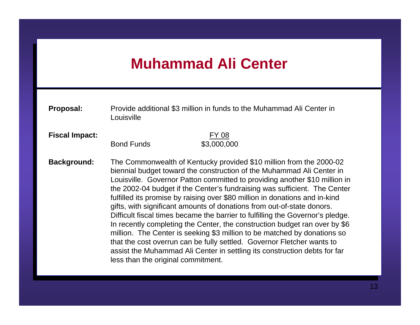# **Muhammad Ali Center Muhammad Ali Center**

| Proposal:             | Louisville                         | Provide additional \$3 million in funds to the Muhammad Ali Center in                                                                                                                                                                                                                                                                                                                                                                                                                                                                                                                                                                                                                                                                                                                                                                                               |
|-----------------------|------------------------------------|---------------------------------------------------------------------------------------------------------------------------------------------------------------------------------------------------------------------------------------------------------------------------------------------------------------------------------------------------------------------------------------------------------------------------------------------------------------------------------------------------------------------------------------------------------------------------------------------------------------------------------------------------------------------------------------------------------------------------------------------------------------------------------------------------------------------------------------------------------------------|
| <b>Fiscal Impact:</b> | <b>Bond Funds</b>                  | <u>FY 08</u><br>\$3,000,000                                                                                                                                                                                                                                                                                                                                                                                                                                                                                                                                                                                                                                                                                                                                                                                                                                         |
| <b>Background:</b>    | less than the original commitment. | The Commonwealth of Kentucky provided \$10 million from the 2000-02<br>biennial budget toward the construction of the Muhammad Ali Center in<br>Louisville. Governor Patton committed to providing another \$10 million in<br>the 2002-04 budget if the Center's fundraising was sufficient. The Center<br>fulfilled its promise by raising over \$80 million in donations and in-kind<br>gifts, with significant amounts of donations from out-of-state donors.<br>Difficult fiscal times became the barrier to fulfilling the Governor's pledge.<br>In recently completing the Center, the construction budget ran over by \$6<br>million. The Center is seeking \$3 million to be matched by donations so<br>that the cost overrun can be fully settled. Governor Fletcher wants to<br>assist the Muhammad Ali Center in settling its construction debts for far |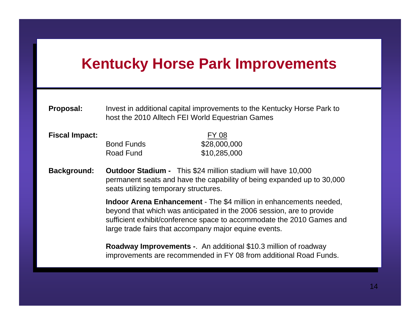## **Kentucky Horse Park Improvements Kentucky Horse Park Improvements**

| <b>Proposal:</b> | Invest in additional capital improvements to the Kentucky Horse Park to |
|------------------|-------------------------------------------------------------------------|
|                  | host the 2010 Alltech FEI World Equestrian Games                        |
|                  |                                                                         |

| <b>Fiscal Impact:</b> |                   | FY 08        |
|-----------------------|-------------------|--------------|
|                       | <b>Bond Funds</b> | \$28,000,000 |
|                       | Road Fund         | \$10,285,000 |

**Background: Outdoor Stadium -** This \$24 million stadium will have 10,000 permanent seats and have the capability of being expanded up to 30,000 permanent seats and have the capability of being expanded up to 30,000 seats utilizing temporary structures. **Background: Outdoor Stadium -** This \$24 million stadium will have 10,000 seats utilizing temporary structures.

> **INDOO ARENA ENHANCEMENT - THE \$4 million in enhancements needed** beyond that which was anticipated in the 2006 session, are to provide sufficient exhibit/conference space to accommodate the 2010 Games and Sufficient exhibit/conference opace to accommodate the 2010 Games and large trade fairs that accompany major equine events. **Indoor Arena Enhancement** - The \$4 million in enhancements needed, beyond that which was anticipated in the 2006 session, are to provide large trade fairs that accompany major equine events.

**Roadway Improvements** - An additional \$10.3 million of roadway improvements are recommended in FY 08 from additional Road Funds. **Roadway Improvements -**. An additional \$10.3 million of roadway improvements are recommended in FY 08 from additional Road Funds.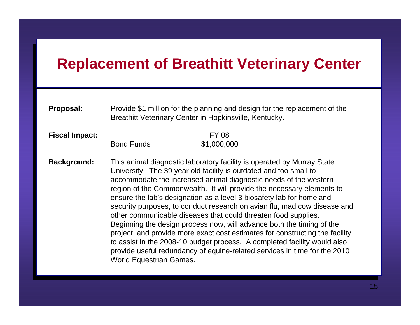## **Replacement of Breathitt Veterinary Center Replacement of Breathitt Veterinary Center**

| Proposal: | Provide \$1 million for the planning and design for the replacement of the |
|-----------|----------------------------------------------------------------------------|
|           | Breathitt Veterinary Center in Hopkinsville, Kentucky.                     |
|           |                                                                            |

**FY 08**<br>**Bond Funds S1.000.0**  $\frac{1}{2}$  Bond Funds  $\frac{1}{2}$ **Fiscal Impact:** \$1,000,000

**Background:** This animal diagnostic laboratory facility is operated by Murray State University. The 39 year old facility is outdated and too small to University. The 39 year old facility is outdated and too small to accommodate the increased animal diagnostic needs of the western accommodate the increased animal diagnostic needs of the western region of the Commonwealth. It will provide the necessary elements to region of the Commonwealth. It will provide the necessary elements to ensure the lab's designation as a level 3 biosafety lab for homeland ensure the lab's designation as a level 3 biosafety lab for homeland security purposes, to conduct research on avian flu, mad cow disease and security purposes, to conduct research on avian flu, mad cow disease and other communicable diseases that could threaten food supplies. other communicable diseases that could threaten food supplies. Beginning the design process now, will advance both the timing of the Beginning the design process now, will advance both the timing of the project, and provide more exact cost estimates for constructing the facility project, and provide more exact cost estimates for constructing the facility to assist in the 2008-10 budget process. A completed facility would also to assist in the 2008-10 budget process. A completed facility would also provide useful redundancy of equine-related services in time for the 2010 provide about redundancy of equine-related services in time for the 2010<br>Morld Equestrian Cames World Equestrian Games. **Background:** This animal diagnostic laboratory facility is operated by Murray State World Equestrian Games.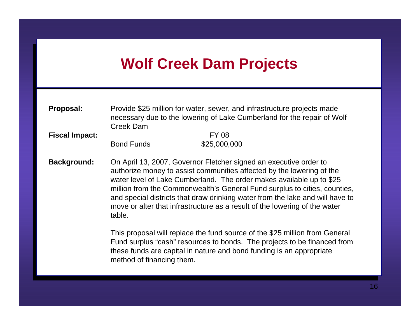## **Wolf Creek Dam Projects Wolf Creek Dam Projects**

**Provide \$25 million for water, sewer, and impact total projects made** necessary due to the lowering of Lake Cumberland for the repair of Wolf Creek Dam**Proposal:** Provide \$25 million for water, sewer, and infrastructure projects made necessary due to the lowering of Lake Cumberland for the repair of Wolf Creek Dam

<u>FY 08</u><br>Example 1990 Bond Funds  $\sqrt{25,000,000}$ **Fiscal Impact:** \$25,000,000

**Background:** On April 13, 2007, Governor Fletcher signed an executive order to authorize money to assist communities affected by the lowering of the authorize money to assist communities affected by the lowering of the water level of Lake Cumberland. The order makes available up to \$25 water level of Eakly Cumberland. This state makes available up to \$25 million from the Commonwealth's Complete transferred to cities, counties, and special districts that draw drinking water from the lake and will have to and special districts that draw drinking water from the lake and will have to move or alter that inhactitations as a result of the lowering of the water table. **Background:** On April 13, 2007, Governor Fletcher signed an executive order to move or alter that infrastructure as a result of the lowering of the water table.

> Fund surplus "cash" resources to bonds. The projects to be financed from Fund surplus "cash" resources to bonds. The projects to be financed from these funds are capital in nature and bond funding is an appropriate these funds are capital in nature and bond funding is an appropriate method of financing them. This proposal will replace the fund source of the \$25 million from General method of financing them.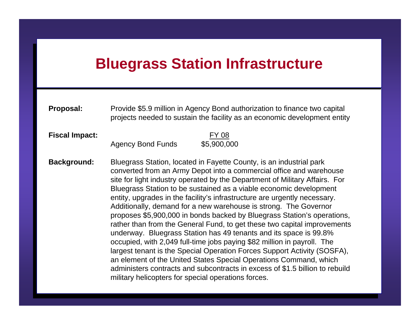#### **Bluegrass Station Infrastructure Bluegrass Station Infrastructure**

| <b>Proposal:</b> | Provide \$5.9 million in Agency Bond authorization to finance two capital |
|------------------|---------------------------------------------------------------------------|
|                  | projects needed to sustain the facility as an economic development entity |

**Fiscal Impact:** Agoney Road Eunde  $\frac{1}{2}$   $\frac{1}{2}$   $\frac{1}{2}$   $\frac{1}{2}$   $\frac{1}{2}$   $\frac{1}{2}$   $\frac{1}{2}$   $\frac{1}{2}$   $\frac{1}{2}$   $\frac{1}{2}$   $\frac{1}{2}$   $\frac{1}{2}$   $\frac{1}{2}$   $\frac{1}{2}$   $\frac{1}{2}$   $\frac{1}{2}$   $\frac{1}{2}$   $\frac{1}{2}$   $\frac{1}{2}$   $\frac{1}{2}$   $\frac{1}{2}$   $\frac{1}{2}$  **Fiscal Impact:** FY 08 Agency Bond Funds \$5,900,000

**Background:** Bluegrass Station, located in Fayette County, is an industrial park converted from an Army Depot into a commercial office and warehouse converted from an Army Depot into a commercial office and warehouse site for light industry operated by the Department of Military Affairs. For site for light industry operated by the Department of Military Affairs. For Bluegrass Station to be sustained as a viable economic development Bluegrass Station to be sustained as a viable economic development entity, upgrades in the facility's infrastructure are urgently necessary. entity, upgrades in the facility's infrastructure are urgently necessary. Additionally, demand for a new warehouse is strong. The Governor Additionally, demand for a new warehouse is strong. The Governor proposes \$5,900,000 in bonds backed by Bluegrass Station's operations, proposes  $\varphi$ ,900,000 in bonds backed by Bluegrass Station's operations, rather than from the General Fund, to get these two capital improvements rather than from the General Fund, to get these two capital improvements underway. Bluegrass Station has 49 tenants and its space is 99.8% underway. Bluegrass Station has 49 tenants and its space is 99.8% occupied, with 2,049 full-time jobs paying \$82 million in payroll. The occupied, with 2,049 full-time jobs paying \$82 million in payroll. The largest tenant is the Special Operation Forces Support Activity (SOSFA), an gest tenant is the Special Operation Forces Support Activity (SOSFA), an element of the United States Special Operations Command, which an element of the United States Special Operations Command, which administers contracts and subcontracts in excess of \$1.5 billion to rebuild administers contracts and subcontracts in excess of  $\psi$ 1.5 billion to rebuild military helicopters for special operations forces. **Background:** Bluegrass Station, located in Fayette County, is an industrial park military helicopters for special operations forces.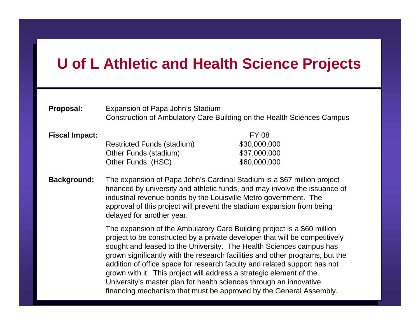# **U of L Athletic and Health Science Projects U of L Athletic and Health Science Projects**

| Proposal:             | Expansion of Papa John's Stadium<br>Construction of Ambulatory Care Building on the Health Sciences Campus                                                                                                                                                                                                                                                                                                                                                                                                                                                                                                    |                                                       |
|-----------------------|---------------------------------------------------------------------------------------------------------------------------------------------------------------------------------------------------------------------------------------------------------------------------------------------------------------------------------------------------------------------------------------------------------------------------------------------------------------------------------------------------------------------------------------------------------------------------------------------------------------|-------------------------------------------------------|
| <b>Fiscal Impact:</b> | <b>Restricted Funds (stadium)</b><br>Other Funds (stadium)<br>Other Funds (HSC)                                                                                                                                                                                                                                                                                                                                                                                                                                                                                                                               | FY 08<br>\$30,000,000<br>\$37,000,000<br>\$60,000,000 |
| <b>Background:</b>    | The expansion of Papa John's Cardinal Stadium is a \$67 million project<br>financed by university and athletic funds, and may involve the issuance of<br>industrial revenue bonds by the Louisville Metro government. The<br>approval of this project will prevent the stadium expansion from being<br>delayed for another year.                                                                                                                                                                                                                                                                              |                                                       |
|                       | The expansion of the Ambulatory Care Building project is a \$60 million<br>project to be constructed by a private developer that will be competitively<br>sought and leased to the University. The Health Sciences campus has<br>grown significantly with the research facilities and other programs, but the<br>addition of office space for research faculty and related support has not<br>grown with it. This project will address a strategic element of the<br>University's master plan for health sciences through an innovative<br>financing mechanism that must be approved by the General Assembly. |                                                       |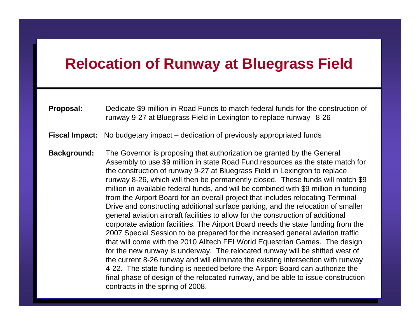## **Relocation of Runway at Bluegrass Field Relocation of Runway at Bluegrass Field**

| <b>Proposal:</b> | Dedicate \$9 million in Road Funds to match federal funds for the construction of |
|------------------|-----------------------------------------------------------------------------------|
|                  | runway 9-27 at Bluegrass Field in Lexington to replace runway 8-26                |

**Fiscal Impact:** No budgetary impact – dedication of previously appropriated funds **Fiscal Impact:** No budgetary impact – dedication of previously appropriated funds

**Background:** The Governor is proposing that authorization be granted by the General Assembly to use \$9 million in state Road Fund resources as the state match for Assembly to use \$9 million in state Road Fund resources as the state match for the construction of runway 9-27 at Bluegrass Field in Lexington to replace runway 8-26, which will then be permanently closed. These funds will match \$9 million in available federal funds, and will be combined with \$9 million in funding million in available federal funds, and will be combined with \$9 million in funding from the Airport Board for an overall project that includes relocating Terminal from the Airport Board for an overall project that includes relocating Terminal Drive and constructing additional surface parking, and the relocation of smaller Drive and constructing additional surface parking, and the relocation of smaller general aviation aircraft facilities to allow for the construction of additional general aviation allowith addition to allow for the construction of additional corporate aviation facilities. The Airport Board needs the state funding from the corporate aviation facilities. The Airport Board needs the state funding from the 2007 Special Session to be prepared for the increased general aviation traffic 2007 Special Session to be prepared for the increased general aviation traffic that will come with the 2010 Alltech FEI World Equestrian Games. The design that will come with the 2010 Alltech FEI World Equestrian Games. The design for the new runway is underway. The relocated runway will be shifted west of for the new runnay is underway. The relocated runnay mill so entired west of the current 8-26 runway and will eliminate the existing intersection with runway the current 8-26 runway and will eliminate the existing intersection with runway 4-22. The state funding is needed before the Airport Board can authorize the Fig. The state randing is needed solete the Aliport Board can address the final phase of design of the relocated runway, and be able to issue construction final phase of design of the relocated runway, and be able to issue construction contracts in the spring of 2008. **Background:** The Governor is proposing that authorization be granted by the General contracts in the spring of 2008.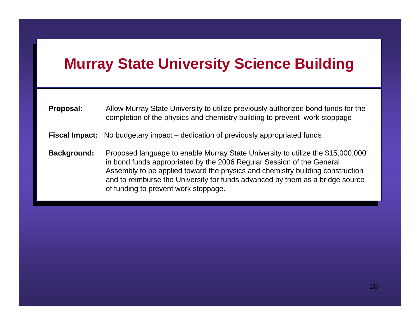# **Murray State University Science Building Murray State University Science Building**

| <b>Proposal:</b> | Allow Murray State University to utilize previously authorized bond funds for the |  |
|------------------|-----------------------------------------------------------------------------------|--|
|                  | completion of the physics and chemistry building to prevent work stoppage         |  |

**Fiscal Impact:** No budgetary impact – dedication of previously appropriated funds **Fiscal Impact:** No budgetary impact – dedication of previously appropriated funds

**Background:** Proposed language to enable Murray State University to utilize the \$15,000,000 in bond funds appropriated by the 2006 Regular Session of the General In bond rando appropriated by the 2006 Regular Session of the Ceneral Assembly to be applied toward the physics and chemistry building construction Assembly to be applied to make the physics and chemistry building constraints.<br>and to reimburse the University for funds advanced by them as a bridge source and to reimburse the University for funds advanced by them as a bridge source of funding to prevent work stoppage. **Background:** Proposed language to enable Murray State University to utilize the \$15,000,000 of funding to prevent work stoppage.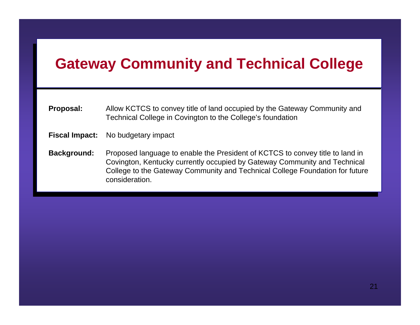## **Gateway Community and Technical College**

- **Proposal:** Allow RCTCS to convey the of land occupied by the Gateway Community and Tachnical Collogo in Covincton to the Collogo's foundation Technical College in Covington to the College's foundation **Proposal:** Allow KCTCS to convey title of land occupied by the Gateway Community and Technical College in Covington to the College's foundation
- **Fiscal Impact:** No budgetary impact **Fiscal Impact:** No budgetary impact
- **Background:** Proposed language to enable the President of KCTCS to convey title to land in Covington, Kentucky currently occupied by Gateway Community and Technical Covington, Renderly currently cocapiod by Gateway Community and Technical College Coundation for future College to the Gateway Community and Technical College Foundation for future consideration.**Background:** Proposed language to enable the President of KCTCS to convey title to land in College to the Gateway Community and Technical College Foundation for future consideration.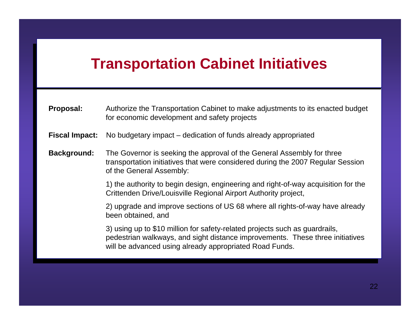## **Transportation Cabinet Initiatives**

| <b>Proposal:</b> | Authorize the Transportation Cabinet to make adjustments to its enacted budget |  |
|------------------|--------------------------------------------------------------------------------|--|
|                  | for economic development and safety projects                                   |  |

**Fiscal Impact:** No budgetary impact – dedication of funds already appropriated **Fiscal Impact:** No budgetary impact – dedication of funds already appropriated

**Background:** The Governor is seeking the approval of the General Assembly for three transportation initiatives that were considered during the 2007 Regular Session transportation initiatives that were considered during the 2007 Regular Session of the General Assembly: **Background:** The Governor is seeking the approval of the General Assembly for three of the General Assembly:

> 1) the authority to begin design, engineering and right-of-may acquisition for the Crittenden Drive/Louisville Regional Airport Authority project 1) the authority to begin design, engineering and right-of-way acquisition for the Crittenden Drive/Louisville Regional Airport Authority project,

> 2) upgrade and improve sections of US 68 where all rights-of-way have already been obtained, and 2) upgrade and improve sections of US 68 where all rights-of-way have already been obtained, and

> by doing up to \$10 million for safety-related projects such as guardrails, pedestrian walkways, and sight distance improvements. These three initiatives pedestrian walkways, and sight distance improvements. These three initiatives will be advanced using already appropriated Road Funds. 3) using up to \$10 million for safety-related projects such as guardrails, will be advanced using already appropriated Road Funds.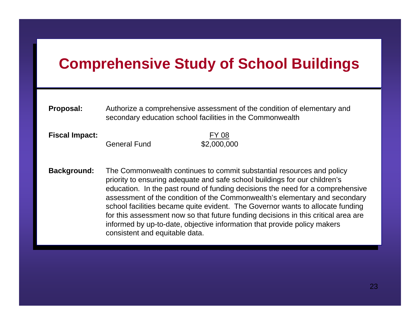# **Comprehensive Study of School Buildings Comprehensive Study of School Buildings**

#### **Proposal:** Authorize a comprehensive assessment of the condition of elementary and secondary education school facilities in the Commonwealth **Proposal:** Authorize a comprehensive assessment of the condition of elementary and secondary education school facilities in the Commonwealth

**Fiscal Impact:** FY 08 General Fund \$2,000,000  $\sqrt{2}$ ,000,000 **Fiscal Impact:** FY 08

**Background:** The Commonwealth continues to commit substantial resources and policy priority to ensuring adequate and safe school buildings for our children's priority to ensuring adequate and safe school buildings for our children's education. In the past round of funding decisions the need for a comprehensive education. In the past round of funding decisions the need for a comprehensive assessment of the condition of the Commonwealth's elementary and secondary assessment of the condition of the Commonwealth's elementary and secondary school facilities became quite evident. The Governor wants to allocate funding school facilities became quite evident. The Governor wants to allocate funding for this assessment now so that future funding decisions in this critical area are for this assessment now so that future funding decisions in this critical area are informed by up-to-date, objective information that provide policy makers informed by up-to-date, objective information that provide policy makers consistent and equitable data. **Background:** The Commonwealth continues to commit substantial resources and policy consistent and equitable data.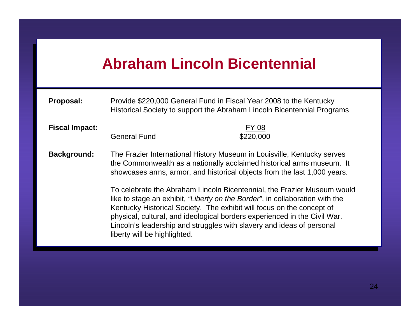## **Abraham Lincoln Bicentennial Abraham Lincoln Bicentennial**

**Proposal:** Provide \$220,000 General Fund in Fiscal Federal Contention,<br>Proposal: Provide Society to support the Abraham Lincoln Ricontennial Provi Historical Society to support the Abraham Lincoln Bicentennial Programs **Proposal:** Provide \$220,000 General Fund in Fiscal Year 2008 to the Kentucky Historical Society to support the Abraham Lincoln Bicentennial Programs

**Fiscal Impact:** FY 08

Fiscal Impact:<br>General Fund  $$220,000$  $\sqrt{220,000}$ 

**Background:** The Frazier International History Museum in Louisville, Kentucky serves the Commonwealth as a nationally acclaimed historical arms museum. It the Commonwealth as a nationally acclaimed motorical arms massam. showcases arms, armor, and historical objects from the last 1,000 years. **Background:** The Frazier International History Museum in Louisville, Kentucky serves showcases arms, armor, and historical objects from the last 1,000 years.

> To celebrate the Abraham Lincoln Bicentennial, the Frazier Museum would like to stage an exhibit, *"Liberty on the Border"*, in collaboration with the like to stage an exhibit, *"Liberty on the Border"*, in collaboration with the Kentucky Historical Society. The exhibit will focus on the concept of Kentucky Historical Society. The exhibit will focus on the concept of physical, cultural, and ideological borders experienced in the Civil War. physical, cultural, and ideological borders experienced in the Civil War. Lincoln's leadership and struggles with slavery and ideas of personal Lincoln's leadership and straggles with slavery and ideas of personal liberty will be highlighted. To celebrate the Abraham Lincoln Bicentennial, the Frazier Museum would liberty will be highlighted.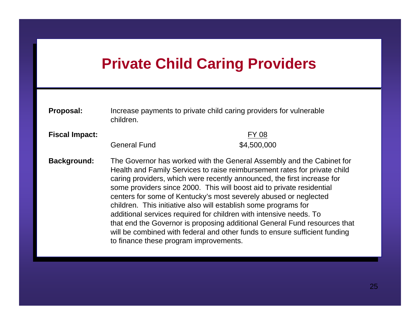## **Private Child Caring Providers**

| Proposal:             | Increase payments to private child caring providers for vulnerable<br>children.                                                                                                                                                                                                                                                                                                                                                                                                                                                                                                                                                                                                                                          |                             |
|-----------------------|--------------------------------------------------------------------------------------------------------------------------------------------------------------------------------------------------------------------------------------------------------------------------------------------------------------------------------------------------------------------------------------------------------------------------------------------------------------------------------------------------------------------------------------------------------------------------------------------------------------------------------------------------------------------------------------------------------------------------|-----------------------------|
| <b>Fiscal Impact:</b> | <b>General Fund</b>                                                                                                                                                                                                                                                                                                                                                                                                                                                                                                                                                                                                                                                                                                      | <b>FY 08</b><br>\$4,500,000 |
| <b>Background:</b>    | The Governor has worked with the General Assembly and the Cabinet for<br>Health and Family Services to raise reimbursement rates for private child<br>caring providers, which were recently announced, the first increase for<br>some providers since 2000. This will boost aid to private residential<br>centers for some of Kentucky's most severely abused or neglected<br>children. This initiative also will establish some programs for<br>additional services required for children with intensive needs. To<br>that end the Governor is proposing additional General Fund resources that<br>will be combined with federal and other funds to ensure sufficient funding<br>to finance these program improvements. |                             |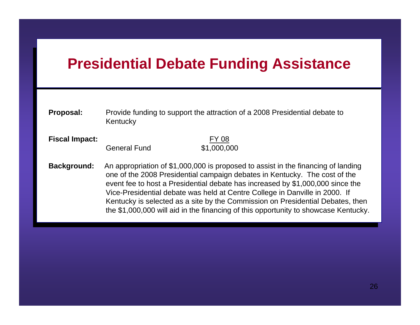### **Presidential Debate Funding Assistance Presidential Debate Funding Assistance**

| <b>Proposal:</b> | Provide funding to support the attraction of a 2008 Presidential debate to |
|------------------|----------------------------------------------------------------------------|
|                  | Kentucky                                                                   |

#### **Fiscal Impact:** FY 08 General Fund \$1,000,000  $\frac{1}{2}$   $\frac{1}{2}$   $\frac{1}{2}$   $\frac{1}{2}$   $\frac{1}{2}$   $\frac{1}{2}$   $\frac{1}{2}$   $\frac{1}{2}$   $\frac{1}{2}$   $\frac{1}{2}$   $\frac{1}{2}$   $\frac{1}{2}$   $\frac{1}{2}$   $\frac{1}{2}$   $\frac{1}{2}$   $\frac{1}{2}$   $\frac{1}{2}$   $\frac{1}{2}$   $\frac{1}{2}$   $\frac{1}{2}$   $\frac{1}{2}$   $\frac{1}{2}$  **Fiscal Impact:** FY 08

**Background:** An appropriation of \$1,000,000 is proposed to assist in the financing of landing one of the 2008 Presidential campaign debates in Kentucky. The cost of the event fee to host a Presidential debate has increased by \$1,000,000 since the event fee to host a Presidential debate has increased by \$1,000,000 since the Vice-Presidential debate was held at Centre College in Danville in 2000. If Vice-Presidential debate was held at Centre College in Danville in 2000. If Kentucky is selected as a site by the Commission on Presidential Debates, then the \$1,000,000 will gid in the financing of this enpertunity to obey ease. Kentucky the \$1,000,000 will aid in the financing of this opportunity to showcase Kentucky. **Background:** An appropriation of \$1,000,000 is proposed to assist in the financing of landing the \$1,000,000 will aid in the financing of this opportunity to showcase Kentucky.